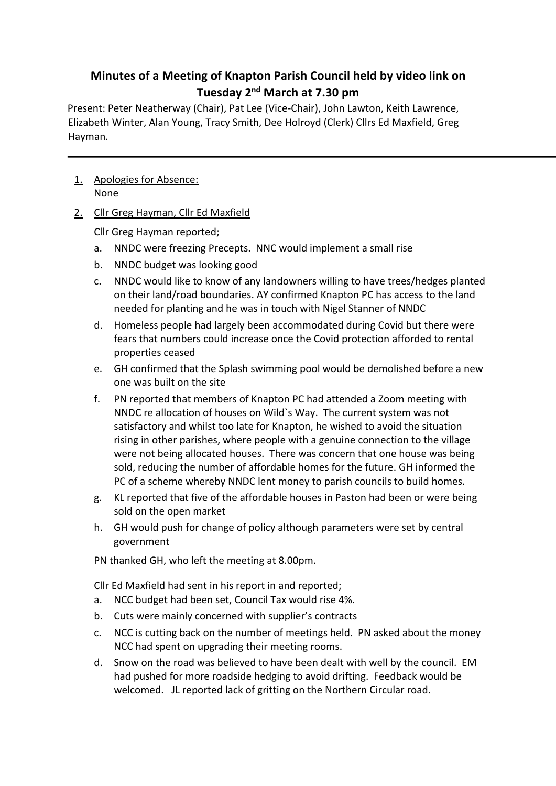# **Minutes of a Meeting of Knapton Parish Council held by video link on Tuesday 2nd March at 7.30 pm**

Present: Peter Neatherway (Chair), Pat Lee (Vice-Chair), John Lawton, Keith Lawrence, Elizabeth Winter, Alan Young, Tracy Smith, Dee Holroyd (Clerk) Cllrs Ed Maxfield, Greg Hayman.

- 1. Apologies for Absence: None
- 2. Cllr Greg Hayman, Cllr Ed Maxfield

Cllr Greg Hayman reported;

- a. NNDC were freezing Precepts. NNC would implement a small rise
- b. NNDC budget was looking good
- c. NNDC would like to know of any landowners willing to have trees/hedges planted on their land/road boundaries. AY confirmed Knapton PC has access to the land needed for planting and he was in touch with Nigel Stanner of NNDC
- d. Homeless people had largely been accommodated during Covid but there were fears that numbers could increase once the Covid protection afforded to rental properties ceased
- e. GH confirmed that the Splash swimming pool would be demolished before a new one was built on the site
- f. PN reported that members of Knapton PC had attended a Zoom meeting with NNDC re allocation of houses on Wild`s Way. The current system was not satisfactory and whilst too late for Knapton, he wished to avoid the situation rising in other parishes, where people with a genuine connection to the village were not being allocated houses. There was concern that one house was being sold, reducing the number of affordable homes for the future. GH informed the PC of a scheme whereby NNDC lent money to parish councils to build homes.
- g. KL reported that five of the affordable houses in Paston had been or were being sold on the open market
- h. GH would push for change of policy although parameters were set by central government

PN thanked GH, who left the meeting at 8.00pm.

Cllr Ed Maxfield had sent in his report in and reported;

- a. NCC budget had been set, Council Tax would rise 4%.
- b. Cuts were mainly concerned with supplier's contracts
- c. NCC is cutting back on the number of meetings held. PN asked about the money NCC had spent on upgrading their meeting rooms.
- d. Snow on the road was believed to have been dealt with well by the council. EM had pushed for more roadside hedging to avoid drifting. Feedback would be welcomed. JL reported lack of gritting on the Northern Circular road.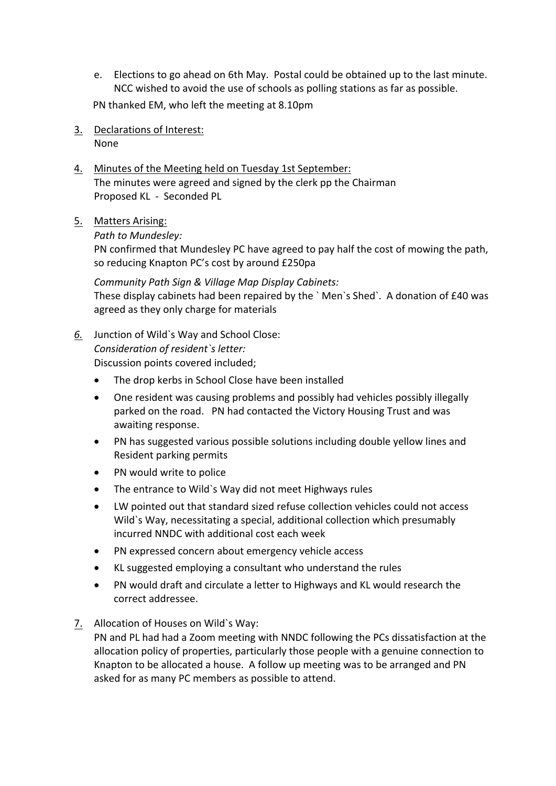e. Elections to go ahead on 6th May. Postal could be obtained up to the last minute. NCC wished to avoid the use of schools as polling stations as far as possible.

PN thanked EM, who left the meeting at 8.10pm

- 3. Declarations of Interest: None
- 4. Minutes of the Meeting held on Tuesday 1st September: The minutes were agreed and signed by the clerk pp the Chairman Proposed KL - Seconded PL
- 5. Matters Arising:

*Path to Mundesley:*

PN confirmed that Mundesley PC have agreed to pay half the cost of mowing the path, so reducing Knapton PC's cost by around £250pa

*Community Path Sign & Village Map Display Cabinets:* These display cabinets had been repaired by the ` Men`s Shed`. A donation of £40 was agreed as they only charge for materials

*6.* Junction of Wild`s Way and School Close: *Consideration of resident`s letter:*  Discussion points covered included;

The drop kerbs in School Close have been installed

- One resident was causing problems and possibly had vehicles possibly illegally parked on the road. PN had contacted the Victory Housing Trust and was awaiting response.
- PN has suggested various possible solutions including double yellow lines and Resident parking permits
- PN would write to police
- The entrance to Wild`s Way did not meet Highways rules
- LW pointed out that standard sized refuse collection vehicles could not access Wild`s Way, necessitating a special, additional collection which presumably incurred NNDC with additional cost each week
- PN expressed concern about emergency vehicle access
- KL suggested employing a consultant who understand the rules
- PN would draft and circulate a letter to Highways and KL would research the correct addressee.
- 7. Allocation of Houses on Wild`s Way:

PN and PL had had a Zoom meeting with NNDC following the PCs dissatisfaction at the allocation policy of properties, particularly those people with a genuine connection to Knapton to be allocated a house. A follow up meeting was to be arranged and PN asked for as many PC members as possible to attend.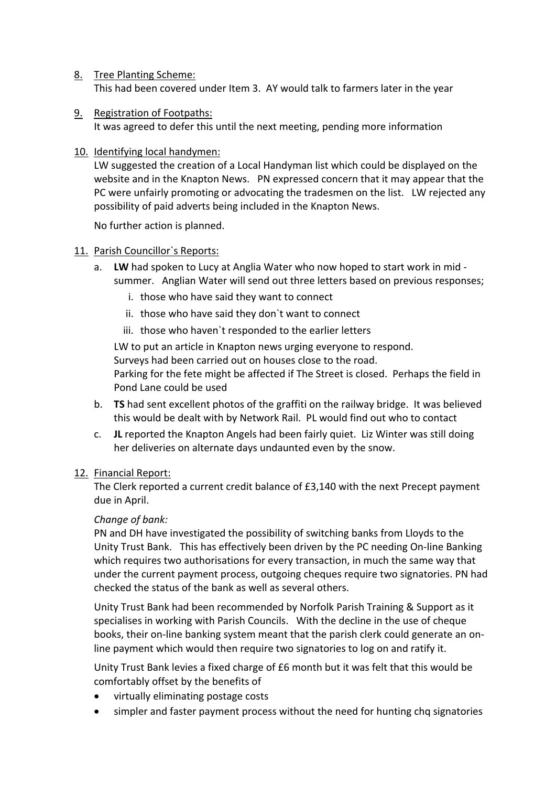- 8. Tree Planting Scheme: This had been covered under Item 3. AY would talk to farmers later in the year
- 9. Registration of Footpaths:

It was agreed to defer this until the next meeting, pending more information

10. Identifying local handymen:

LW suggested the creation of a Local Handyman list which could be displayed on the website and in the Knapton News. PN expressed concern that it may appear that the PC were unfairly promoting or advocating the tradesmen on the list. LW rejected any possibility of paid adverts being included in the Knapton News.

No further action is planned.

# 11. Parish Councillor`s Reports:

- a. **LW** had spoken to Lucy at Anglia Water who now hoped to start work in mid summer. Anglian Water will send out three letters based on previous responses;
	- i. those who have said they want to connect
	- ii. those who have said they don`t want to connect
	- iii. those who haven`t responded to the earlier letters

LW to put an article in Knapton news urging everyone to respond. Surveys had been carried out on houses close to the road. Parking for the fete might be affected if The Street is closed. Perhaps the field in Pond Lane could be used

- b. **TS** had sent excellent photos of the graffiti on the railway bridge. It was believed this would be dealt with by Network Rail. PL would find out who to contact
- c. **JL** reported the Knapton Angels had been fairly quiet. Liz Winter was still doing her deliveries on alternate days undaunted even by the snow.

# 12. Financial Report:

The Clerk reported a current credit balance of £3,140 with the next Precept payment due in April.

# *Change of bank:*

PN and DH have investigated the possibility of switching banks from Lloyds to the Unity Trust Bank. This has effectively been driven by the PC needing On-line Banking which requires two authorisations for every transaction, in much the same way that under the current payment process, outgoing cheques require two signatories. PN had checked the status of the bank as well as several others.

Unity Trust Bank had been recommended by Norfolk Parish Training & Support as it specialises in working with Parish Councils. With the decline in the use of cheque books, their on-line banking system meant that the parish clerk could generate an online payment which would then require two signatories to log on and ratify it.

Unity Trust Bank levies a fixed charge of £6 month but it was felt that this would be comfortably offset by the benefits of

- virtually eliminating postage costs
- simpler and faster payment process without the need for hunting chq signatories